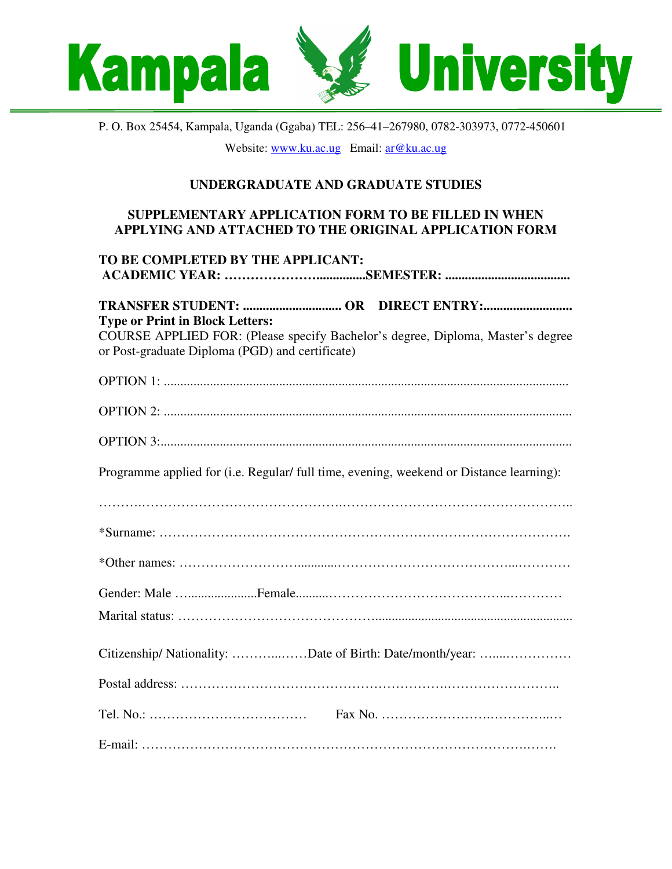

P. O. Box 25454, Kampala, Uganda (Ggaba) TEL: 256–41–267980, 0782-303973, 0772-450601 Website: www.ku.ac.ug Email: ar@ku.ac.ug

## **UNDERGRADUATE AND GRADUATE STUDIES**

## **SUPPLEMENTARY APPLICATION FORM TO BE FILLED IN WHEN APPLYING AND ATTACHED TO THE ORIGINAL APPLICATION FORM**

| TO BE COMPLETED BY THE APPLICANT:                                                       |
|-----------------------------------------------------------------------------------------|
|                                                                                         |
|                                                                                         |
| <b>Type or Print in Block Letters:</b>                                                  |
| COURSE APPLIED FOR: (Please specify Bachelor's degree, Diploma, Master's degree         |
| or Post-graduate Diploma (PGD) and certificate)                                         |
|                                                                                         |
|                                                                                         |
|                                                                                         |
|                                                                                         |
|                                                                                         |
| Programme applied for (i.e. Regular/ full time, evening, weekend or Distance learning): |
|                                                                                         |
|                                                                                         |
|                                                                                         |
|                                                                                         |
|                                                                                         |
|                                                                                         |
|                                                                                         |
|                                                                                         |
| Citizenship/ Nationality: Date of Birth: Date/month/year:                               |
|                                                                                         |
|                                                                                         |
|                                                                                         |
|                                                                                         |
|                                                                                         |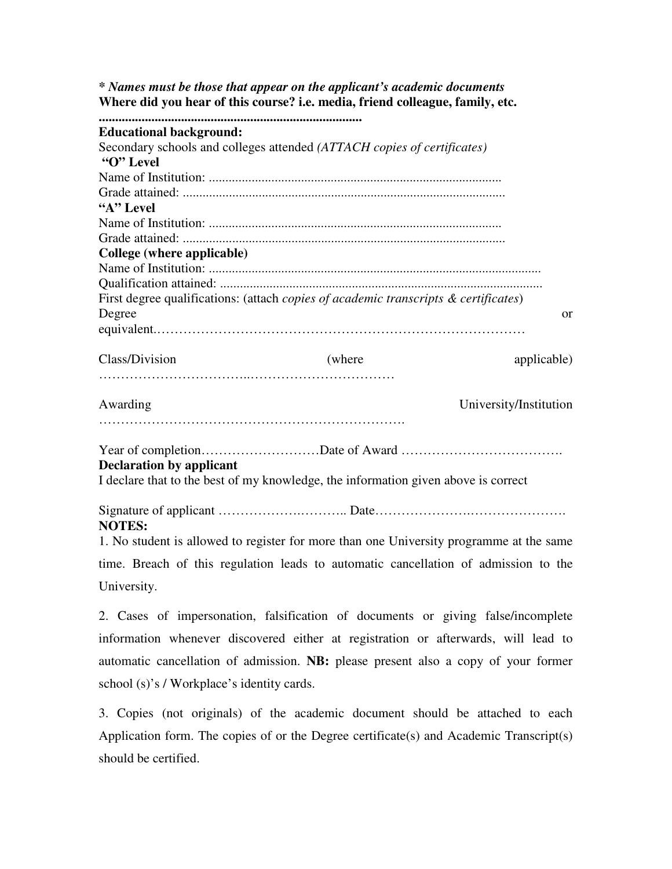*\* Names must be those that appear on the applicant's academic documents* **Where did you hear of this course? i.e. media, friend colleague, family, etc. ................................................................................ Educational background:** Secondary schools and colleges attended *(ATTACH copies of certificates)* **"O" Level** Name of Institution: ......................................................................................... Grade attained: .................................................................................................. **"A" Level** Name of Institution: ......................................................................................... Grade attained: .................................................................................................. **College (where applicable)** Name of Institution: ..................................................................................................... Qualification attained: .................................................................................................. First degree qualifications: (attach *copies of academic transcripts & certificates*) Degree or equivalent.………………………………………………………………………… Class/Division (where applicable) applicable) ……………………………..…………………………… Awarding University/Institution ……………………………………………………………. Year of completion………………………Date of Award ………………………………. **Declaration by applicant** I declare that to the best of my knowledge, the information given above is correct Signature of applicant ……………….……….. Date………………….…………………. **NOTES:**

1. No student is allowed to register for more than one University programme at the same time. Breach of this regulation leads to automatic cancellation of admission to the University.

2. Cases of impersonation, falsification of documents or giving false/incomplete information whenever discovered either at registration or afterwards, will lead to automatic cancellation of admission. **NB:** please present also a copy of your former school (s)'s / Workplace's identity cards.

3. Copies (not originals) of the academic document should be attached to each Application form. The copies of or the Degree certificate(s) and Academic Transcript(s) should be certified.